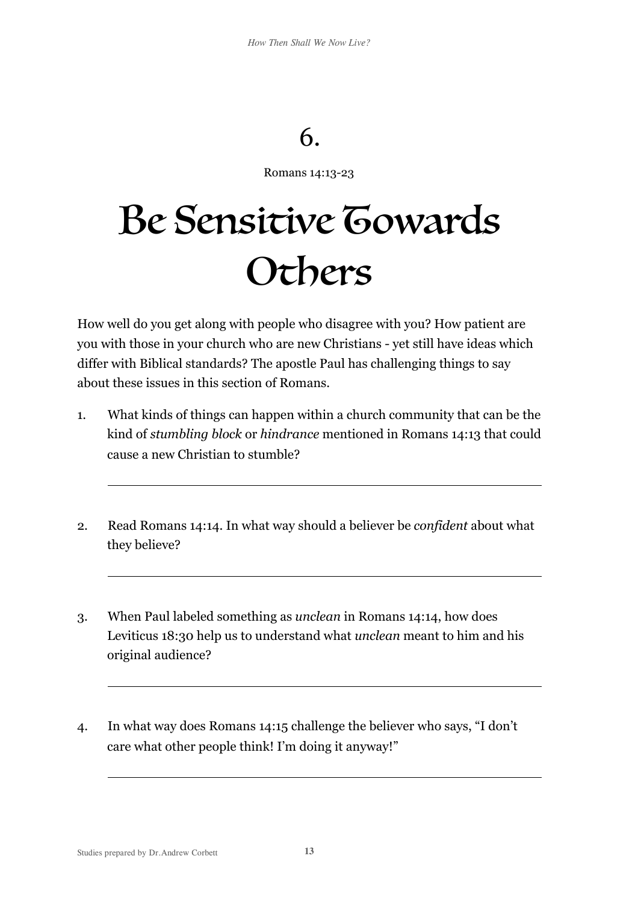## 6.

Romans 14:13-23

## Be Sensitive Gowards **Others**

How well do you get along with people who disagree with you? How patient are you with those in your church who are new Christians - yet still have ideas which differ with Biblical standards? The apostle Paul has challenging things to say about these issues in this section of Romans.

- 1. What kinds of things can happen within a church community that can be the kind of *stumbling block* or *hindrance* mentioned in Romans 14:13 that could cause a new Christian to stumble?
- 2. Read Romans 14:14. In what way should a believer be *confident* about what they believe?
- 3. When Paul labeled something as *unclean* in Romans 14:14, how does Leviticus 18:30 help us to understand what *unclean* meant to him and his original audience?
- 4. In what way does Romans 14:15 challenge the believer who says, "I don't care what other people think! I'm doing it anyway!"

 $\overline{a}$ 

 $\overline{a}$ 

 $\overline{a}$